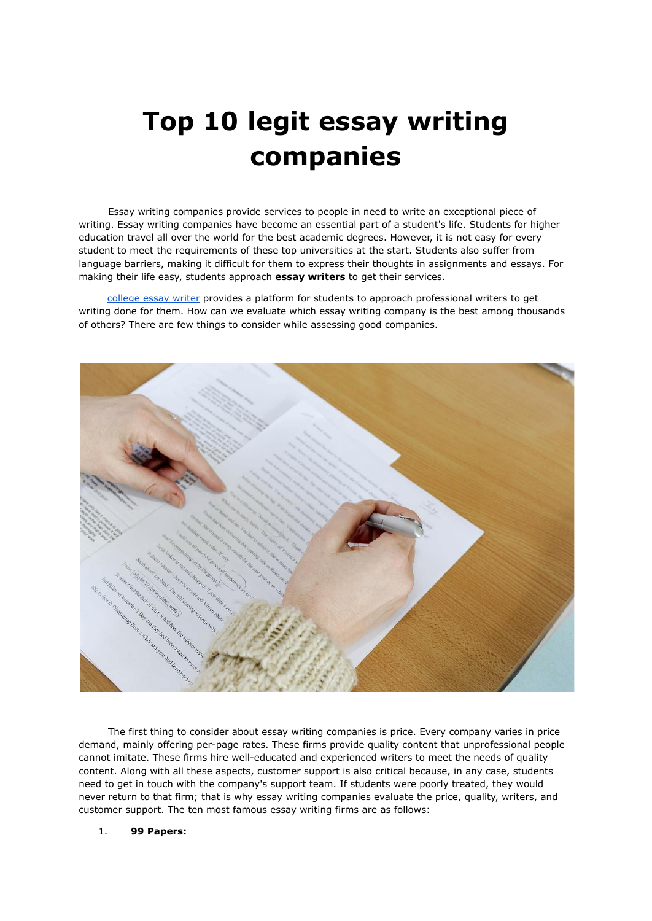# **Top 10 legit essay writing companies**

Essay writing companies provide services to people in need to write an exceptional piece of writing. Essay writing companies have become an essential part of a student's life. Students for higher education travel all over the world for the best academic degrees. However, it is not easy for every student to meet the requirements of these top universities at the start. Students also suffer from language barriers, making it difficult for them to express their thoughts in assignments and essays. For making their life easy, students approach **essay writers** to get their services.

[college](https://youressaywriter.net/) essay writer provides a platform for students to approach professional writers to get writing done for them. How can we evaluate which essay writing company is the best among thousands of others? There are few things to consider while assessing good companies.



The first thing to consider about essay writing companies is price. Every company varies in price demand, mainly offering per-page rates. These firms provide quality content that unprofessional people cannot imitate. These firms hire well-educated and experienced writers to meet the needs of quality content. Along with all these aspects, customer support is also critical because, in any case, students need to get in touch with the company's support team. If students were poorly treated, they would never return to that firm; that is why essay writing companies evaluate the price, quality, writers, and customer support. The ten most famous essay writing firms are as follows:

#### 1. **99 Papers:**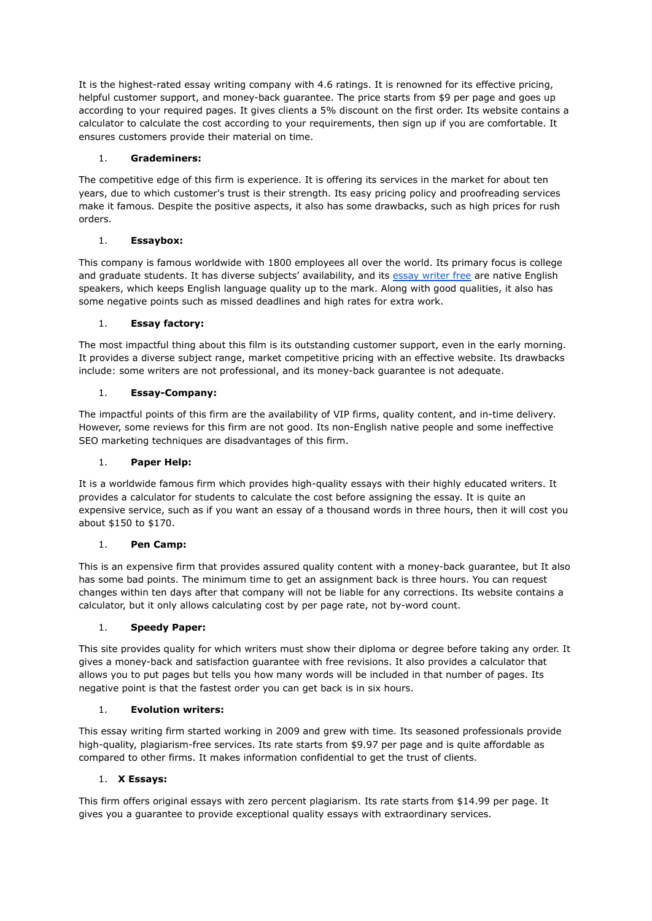It is the highest-rated essay writing company with 4.6 ratings. It is renowned for its effective pricing, helpful customer support, and money-back guarantee. The price starts from \$9 per page and goes up according to your required pages. It gives clients a 5% discount on the first order. Its website contains a calculator to calculate the cost according to your requirements, then sign up if you are comfortable. It ensures customers provide their material on time.

## 1. **Grademiners:**

The competitive edge of this firm is experience. It is offering its services in the market for about ten years, due to which customer's trust is their strength. Its easy pricing policy and proofreading services make it famous. Despite the positive aspects, it also has some drawbacks, such as high prices for rush orders.

# 1. **Essaybox:**

This company is famous worldwide with 1800 employees all over the world. Its primary focus is college and graduate students. It has diverse subjects' availability, and its essay [writer](https://essaywriternow.com/) free are native English speakers, which keeps English language quality up to the mark. Along with good qualities, it also has some negative points such as missed deadlines and high rates for extra work.

# 1. **Essay factory:**

The most impactful thing about this film is its outstanding customer support, even in the early morning. It provides a diverse subject range, market competitive pricing with an effective website. Its drawbacks include: some writers are not professional, and its money-back guarantee is not adequate.

# 1. **Essay-Company:**

The impactful points of this firm are the availability of VIP firms, quality content, and in-time delivery. However, some reviews for this firm are not good. Its non-English native people and some ineffective SEO marketing techniques are disadvantages of this firm.

## 1. **Paper Help:**

It is a worldwide famous firm which provides high-quality essays with their highly educated writers. It provides a calculator for students to calculate the cost before assigning the essay. It is quite an expensive service, such as if you want an essay of a thousand words in three hours, then it will cost you about \$150 to \$170.

## 1. **Pen Camp:**

This is an expensive firm that provides assured quality content with a money-back guarantee, but It also has some bad points. The minimum time to get an assignment back is three hours. You can request changes within ten days after that company will not be liable for any corrections. Its website contains a calculator, but it only allows calculating cost by per page rate, not by-word count.

## 1. **Speedy Paper:**

This site provides quality for which writers must show their diploma or degree before taking any order. It gives a money-back and satisfaction guarantee with free revisions. It also provides a calculator that allows you to put pages but tells you how many words will be included in that number of pages. Its negative point is that the fastest order you can get back is in six hours.

## 1. **Evolution writers:**

This essay writing firm started working in 2009 and grew with time. Its seasoned professionals provide high-quality, plagiarism-free services. Its rate starts from \$9.97 per page and is quite affordable as compared to other firms. It makes information confidential to get the trust of clients.

## 1. **X Essays:**

This firm offers original essays with zero percent plagiarism. Its rate starts from \$14.99 per page. It gives you a guarantee to provide exceptional quality essays with extraordinary services.